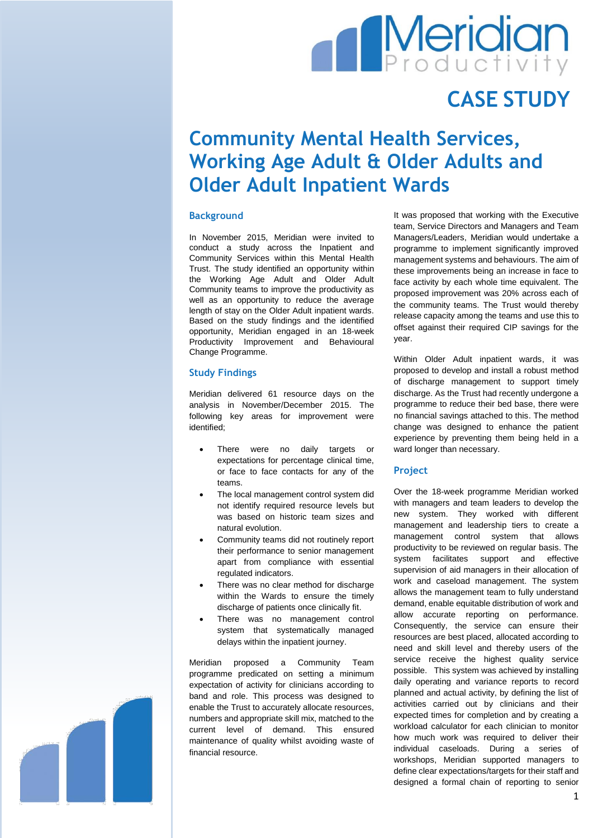# **Meridian**

## **CASE STUDY**

### **Community Mental Health Services, Working Age Adult & Older Adults and Older Adult Inpatient Wards**

#### **Background**

In November 2015, Meridian were invited to conduct a study across the Inpatient and Community Services within this Mental Health Trust. The study identified an opportunity within the Working Age Adult and Older Adult Community teams to improve the productivity as well as an opportunity to reduce the average length of stay on the Older Adult inpatient wards. Based on the study findings and the identified opportunity, Meridian engaged in an 18-week Productivity Improvement and Behavioural Change Programme.

#### **Study Findings**

Meridian delivered 61 resource days on the analysis in November/December 2015. The following key areas for improvement were identified;

- There were no daily targets or expectations for percentage clinical time, or face to face contacts for any of the teams.
- The local management control system did not identify required resource levels but was based on historic team sizes and natural evolution.
- Community teams did not routinely report their performance to senior management apart from compliance with essential regulated indicators.
- There was no clear method for discharge within the Wards to ensure the timely discharge of patients once clinically fit.
- There was no management control system that systematically managed delays within the inpatient journey.

Meridian proposed a Community Team programme predicated on setting a minimum expectation of activity for clinicians according to band and role. This process was designed to enable the Trust to accurately allocate resources, numbers and appropriate skill mix, matched to the current level of demand. This ensured maintenance of quality whilst avoiding waste of financial resource.

It was proposed that working with the Executive team, Service Directors and Managers and Team Managers/Leaders, Meridian would undertake a programme to implement significantly improved management systems and behaviours. The aim of these improvements being an increase in face to face activity by each whole time equivalent. The proposed improvement was 20% across each of the community teams. The Trust would thereby release capacity among the teams and use this to offset against their required CIP savings for the year.

Within Older Adult inpatient wards, it was proposed to develop and install a robust method of discharge management to support timely discharge. As the Trust had recently undergone a programme to reduce their bed base, there were no financial savings attached to this. The method change was designed to enhance the patient experience by preventing them being held in a ward longer than necessary.

#### **Project**

Over the 18-week programme Meridian worked with managers and team leaders to develop the new system. They worked with different management and leadership tiers to create a management control system that allows productivity to be reviewed on regular basis. The system facilitates support and effective supervision of aid managers in their allocation of work and caseload management. The system allows the management team to fully understand demand, enable equitable distribution of work and allow accurate reporting on performance. Consequently, the service can ensure their resources are best placed, allocated according to need and skill level and thereby users of the service receive the highest quality service possible. This system was achieved by installing daily operating and variance reports to record planned and actual activity, by defining the list of activities carried out by clinicians and their expected times for completion and by creating a workload calculator for each clinician to monitor how much work was required to deliver their individual caseloads. During a series of workshops, Meridian supported managers to define clear expectations/targets for their staff and designed a formal chain of reporting to senior